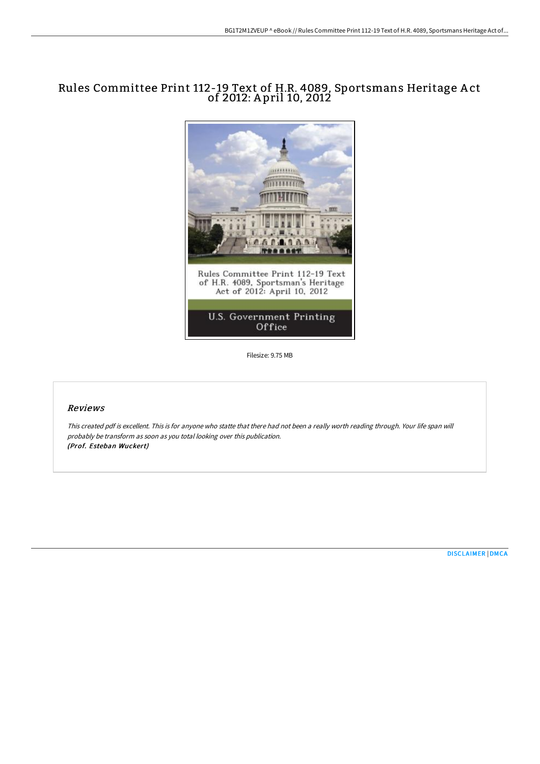# Rules Committee Print 112-19 Text of H.R. 4089, Sportsmans Heritage A ct of 2012: A pril 10, 2012



Filesize: 9.75 MB

## Reviews

This created pdf is excellent. This is for anyone who statte that there had not been <sup>a</sup> really worth reading through. Your life span will probably be transform as soon as you total looking over this publication. (Prof. Esteban Wuckert)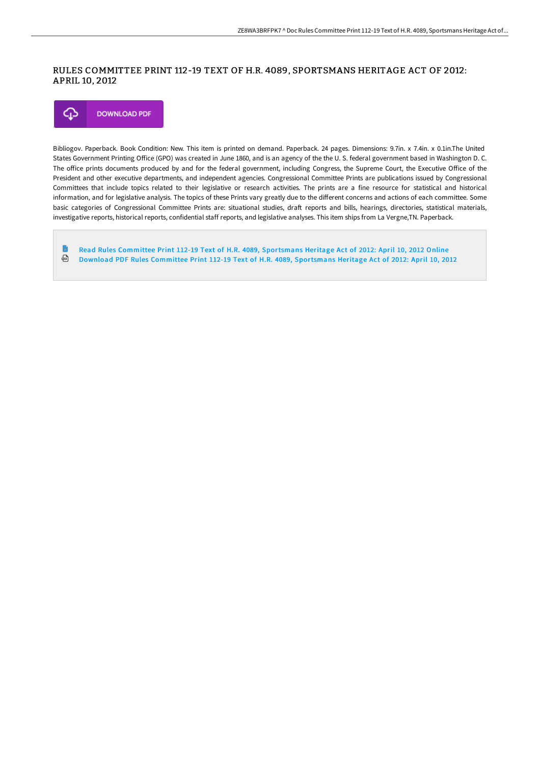### RULES COMMITTEE PRINT 112-19 TEXT OF H.R. 4089, SPORTSMANS HERITAGE ACT OF 2012: APRIL 10, 2012



Bibliogov. Paperback. Book Condition: New. This item is printed on demand. Paperback. 24 pages. Dimensions: 9.7in. x 7.4in. x 0.1in.The United States Government Printing Office (GPO) was created in June 1860, and is an agency of the the U.S. federal government based in Washington D.C. The office prints documents produced by and for the federal government, including Congress, the Supreme Court, the Executive Office of the President and other executive departments, and independent agencies. Congressional Committee Prints are publications issued by Congressional Committees that include topics related to their legislative or research activities. The prints are a fine resource for statistical and historical information, and for legislative analysis. The topics of these Prints vary greatly due to the different concerns and actions of each committee. Some basic categories of Congressional Committee Prints are: situational studies, draft reports and bills, hearings, directories, statistical materials, investigative reports, historical reports, confidential staff reports, and legislative analyses. This item ships from La Vergne,TN. Paperback.

Read Rules Committee Print 112-19 Text of H.R. 4089, [Sportsmans](http://techno-pub.tech/rules-committee-print-112-19-text-of-h-r-4089-sp.html) Heritage Act of 2012: April 10, 2012 Online ⊕ Download PDF Rules Committee Print 112-19 Text of H.R. 4089, [Sportsmans](http://techno-pub.tech/rules-committee-print-112-19-text-of-h-r-4089-sp.html) Heritage Act of 2012: April 10, 2012